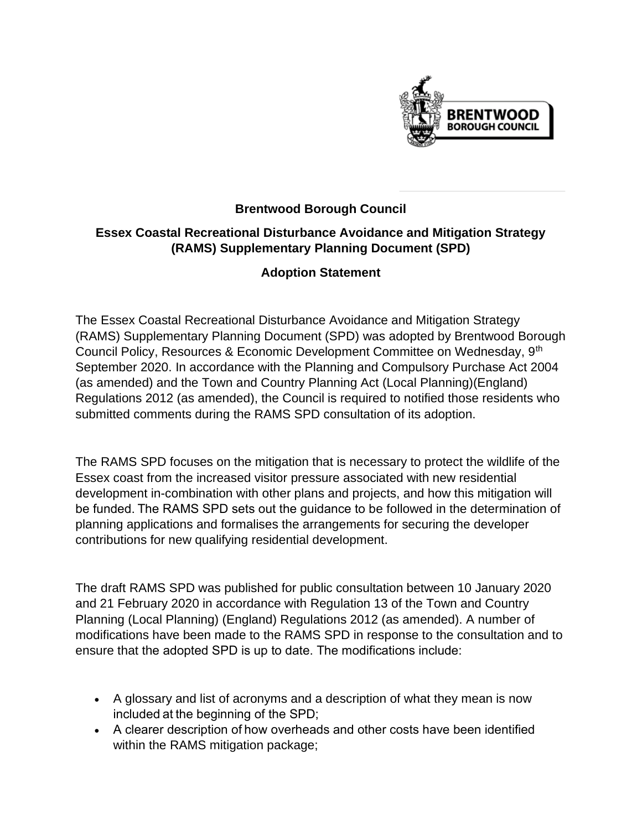

## **Brentwood Borough Council**

## **Essex Coastal Recreational Disturbance Avoidance and Mitigation Strategy (RAMS) Supplementary Planning Document (SPD)**

## **Adoption Statement**

The Essex Coastal Recreational Disturbance Avoidance and Mitigation Strategy (RAMS) Supplementary Planning Document (SPD) was adopted by Brentwood Borough Council Policy, Resources & Economic Development Committee on Wednesday, 9th September 2020. In accordance with the Planning and Compulsory Purchase Act 2004 (as amended) and the Town and Country Planning Act (Local Planning)(England) Regulations 2012 (as amended), the Council is required to notified those residents who submitted comments during the RAMS SPD consultation of its adoption.

The RAMS SPD focuses on the mitigation that is necessary to protect the wildlife of the Essex coast from the increased visitor pressure associated with new residential development in-combination with other plans and projects, and how this mitigation will be funded. The RAMS SPD sets out the guidance to be followed in the determination of planning applications and formalises the arrangements for securing the developer contributions for new qualifying residential development.

The draft RAMS SPD was published for public consultation between 10 January 2020 and 21 February 2020 in accordance with Regulation 13 of the Town and Country Planning (Local Planning) (England) Regulations 2012 (as amended). A number of modifications have been made to the RAMS SPD in response to the consultation and to ensure that the adopted SPD is up to date. The modifications include:   

- A glossary and list of acronyms and a description of what they mean is now included at the beginning of the SPD;
- A clearer description of how overheads and other costs have been identified within the RAMS mitigation package;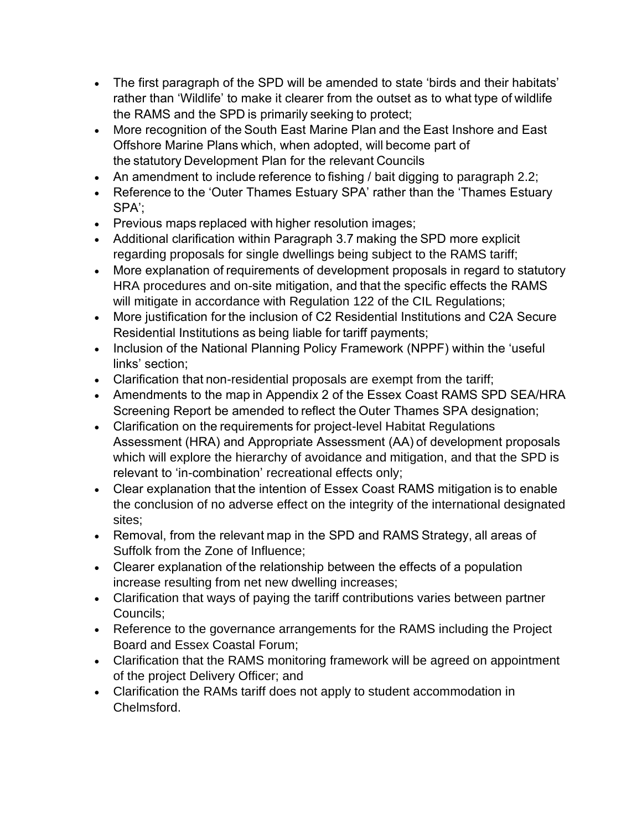- The first paragraph of the SPD will be amended to state 'birds and their habitats' rather than 'Wildlife' to make it clearer from the outset as to what type of wildlife the RAMS and the SPD is primarily seeking to protect;
- More recognition of the South East Marine Plan and the East Inshore and East Offshore Marine Plans which, when adopted, will become part of the statutory Development Plan for the relevant Councils
- An amendment to include reference to fishing / bait digging to paragraph 2.2;
- Reference to the 'Outer Thames Estuary SPA' rather than the 'Thames Estuary SPA';
- Previous maps replaced with higher resolution images;
- Additional clarification within Paragraph 3.7 making the SPD more explicit regarding proposals for single dwellings being subject to the RAMS tariff;
- More explanation of requirements of development proposals in regard to statutory HRA procedures and on-site mitigation, and that the specific effects the RAMS will mitigate in accordance with Regulation 122 of the CIL Regulations;
- More justification for the inclusion of C2 Residential Institutions and C2A Secure Residential Institutions as being liable for tariff payments;
- Inclusion of the National Planning Policy Framework (NPPF) within the 'useful links' section;
- Clarification that non-residential proposals are exempt from the tariff;
- Amendments to the map in Appendix 2 of the Essex Coast RAMS SPD SEA/HRA Screening Report be amended to reflect the Outer Thames SPA designation;
- Clarification on the requirements for project-level Habitat Regulations Assessment (HRA) and Appropriate Assessment (AA) of development proposals which will explore the hierarchy of avoidance and mitigation, and that the SPD is relevant to 'in-combination' recreational effects only;
- Clear explanation that the intention of Essex Coast RAMS mitigation is to enable the conclusion of no adverse effect on the integrity of the international designated sites;
- Removal, from the relevant map in the SPD and RAMS Strategy, all areas of Suffolk from the Zone of Influence;
- Clearer explanation of the relationship between the effects of a population increase resulting from net new dwelling increases;
- Clarification that ways of paying the tariff contributions varies between partner Councils;
- Reference to the governance arrangements for the RAMS including the Project Board and Essex Coastal Forum;
- Clarification that the RAMS monitoring framework will be agreed on appointment of the project Delivery Officer; and
- Clarification the RAMs tariff does not apply to student accommodation in Chelmsford.